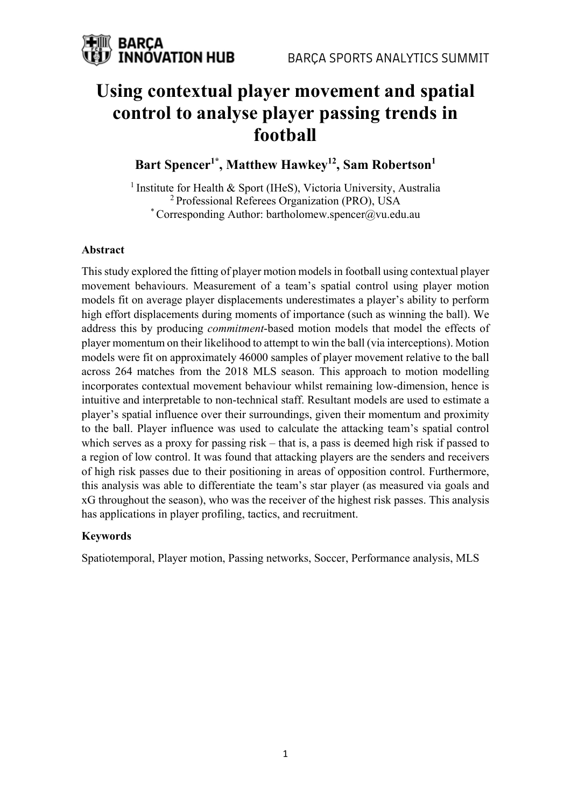

## **Using contextual player movement and spatial control to analyse player passing trends in football**

## Bart Spencer<sup>1\*</sup>, Matthew Hawkey<sup>12</sup>, Sam Robertson<sup>1</sup>

<sup>1</sup> Institute for Health & Sport (IHeS), Victoria University, Australia <sup>2</sup> Professional Referees Organization (PRO), USA \* Corresponding Author: bartholomew.spencer@vu.edu.au

#### **Abstract**

This study explored the fitting of player motion models in football using contextual player movement behaviours. Measurement of a team's spatial control using player motion models fit on average player displacements underestimates a player's ability to perform high effort displacements during moments of importance (such as winning the ball). We address this by producing *commitment*-based motion models that model the effects of player momentum on their likelihood to attempt to win the ball (via interceptions). Motion models were fit on approximately 46000 samples of player movement relative to the ball across 264 matches from the 2018 MLS season. This approach to motion modelling incorporates contextual movement behaviour whilst remaining low-dimension, hence is intuitive and interpretable to non-technical staff. Resultant models are used to estimate a player's spatial influence over their surroundings, given their momentum and proximity to the ball. Player influence was used to calculate the attacking team's spatial control which serves as a proxy for passing risk – that is, a pass is deemed high risk if passed to a region of low control. It was found that attacking players are the senders and receivers of high risk passes due to their positioning in areas of opposition control. Furthermore, this analysis was able to differentiate the team's star player (as measured via goals and xG throughout the season), who was the receiver of the highest risk passes. This analysis has applications in player profiling, tactics, and recruitment.

#### **Keywords**

Spatiotemporal, Player motion, Passing networks, Soccer, Performance analysis, MLS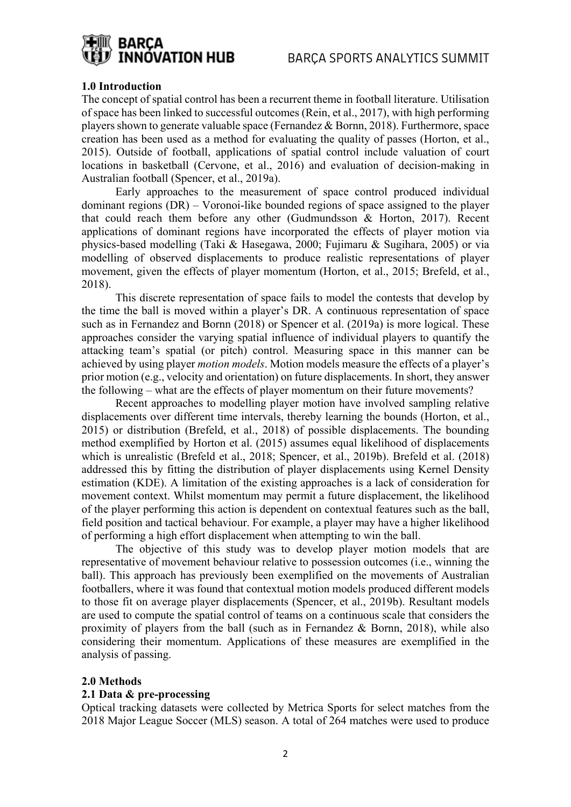

#### **1.0 Introduction**

The concept of spatial control has been a recurrent theme in football literature. Utilisation of space has been linked to successful outcomes (Rein, et al., 2017), with high performing players shown to generate valuable space (Fernandez & Bornn, 2018). Furthermore, space creation has been used as a method for evaluating the quality of passes (Horton, et al., 2015). Outside of football, applications of spatial control include valuation of court locations in basketball (Cervone, et al., 2016) and evaluation of decision-making in Australian football (Spencer, et al., 2019a).

Early approaches to the measurement of space control produced individual dominant regions (DR) – Voronoi-like bounded regions of space assigned to the player that could reach them before any other (Gudmundsson & Horton, 2017). Recent applications of dominant regions have incorporated the effects of player motion via physics-based modelling (Taki & Hasegawa, 2000; Fujimaru & Sugihara, 2005) or via modelling of observed displacements to produce realistic representations of player movement, given the effects of player momentum (Horton, et al., 2015; Brefeld, et al., 2018).

This discrete representation of space fails to model the contests that develop by the time the ball is moved within a player's DR. A continuous representation of space such as in Fernandez and Bornn (2018) or Spencer et al. (2019a) is more logical. These approaches consider the varying spatial influence of individual players to quantify the attacking team's spatial (or pitch) control. Measuring space in this manner can be achieved by using player *motion models*. Motion models measure the effects of a player's prior motion (e.g., velocity and orientation) on future displacements. In short, they answer the following – what are the effects of player momentum on their future movements?

Recent approaches to modelling player motion have involved sampling relative displacements over different time intervals, thereby learning the bounds (Horton, et al., 2015) or distribution (Brefeld, et al., 2018) of possible displacements. The bounding method exemplified by Horton et al. (2015) assumes equal likelihood of displacements which is unrealistic (Brefeld et al., 2018; Spencer, et al., 2019b). Brefeld et al. (2018) addressed this by fitting the distribution of player displacements using Kernel Density estimation (KDE). A limitation of the existing approaches is a lack of consideration for movement context. Whilst momentum may permit a future displacement, the likelihood of the player performing this action is dependent on contextual features such as the ball, field position and tactical behaviour. For example, a player may have a higher likelihood of performing a high effort displacement when attempting to win the ball.

The objective of this study was to develop player motion models that are representative of movement behaviour relative to possession outcomes (i.e., winning the ball). This approach has previously been exemplified on the movements of Australian footballers, where it was found that contextual motion models produced different models to those fit on average player displacements (Spencer, et al., 2019b). Resultant models are used to compute the spatial control of teams on a continuous scale that considers the proximity of players from the ball (such as in Fernandez & Bornn, 2018), while also considering their momentum. Applications of these measures are exemplified in the analysis of passing.

#### **2.0 Methods**

#### **2.1 Data & pre-processing**

Optical tracking datasets were collected by Metrica Sports for select matches from the 2018 Major League Soccer (MLS) season. A total of 264 matches were used to produce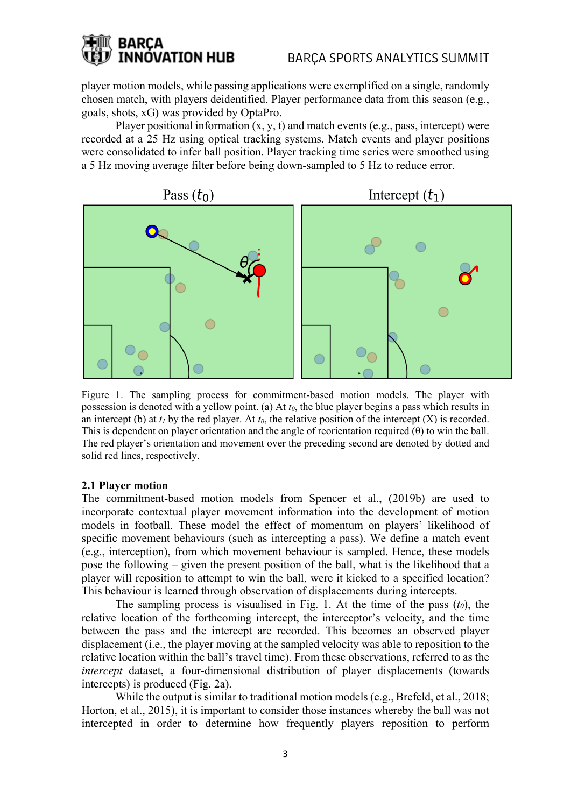## **BARCA INNOVATION HUB**

player motion models, while passing applications were exemplified on a single, randomly chosen match, with players deidentified. Player performance data from this season (e.g., goals, shots, xG) was provided by OptaPro.

Player positional information  $(x, y, t)$  and match events (e.g., pass, intercept) were recorded at a 25 Hz using optical tracking systems. Match events and player positions were consolidated to infer ball position. Player tracking time series were smoothed using a 5 Hz moving average filter before being down-sampled to 5 Hz to reduce error.



Figure 1. The sampling process for commitment-based motion models. The player with possession is denoted with a yellow point. (a) At  $t_0$ , the blue player begins a pass which results in an intercept (b) at  $t_1$  by the red player. At  $t_0$ , the relative position of the intercept  $(X)$  is recorded. This is dependent on player orientation and the angle of reorientation required  $(\theta)$  to win the ball. The red player's orientation and movement over the preceding second are denoted by dotted and solid red lines, respectively.

#### **2.1 Player motion**

The commitment-based motion models from Spencer et al., (2019b) are used to incorporate contextual player movement information into the development of motion models in football. These model the effect of momentum on players' likelihood of specific movement behaviours (such as intercepting a pass). We define a match event (e.g., interception), from which movement behaviour is sampled. Hence, these models pose the following – given the present position of the ball, what is the likelihood that a player will reposition to attempt to win the ball, were it kicked to a specified location? This behaviour is learned through observation of displacements during intercepts.

The sampling process is visualised in Fig. 1. At the time of the pass  $(t_0)$ , the relative location of the forthcoming intercept, the interceptor's velocity, and the time between the pass and the intercept are recorded. This becomes an observed player displacement (i.e., the player moving at the sampled velocity was able to reposition to the relative location within the ball's travel time). From these observations, referred to as the *intercept* dataset, a four-dimensional distribution of player displacements (towards intercepts) is produced (Fig. 2a).

While the output is similar to traditional motion models (e.g., Brefeld, et al., 2018; Horton, et al., 2015), it is important to consider those instances whereby the ball was not intercepted in order to determine how frequently players reposition to perform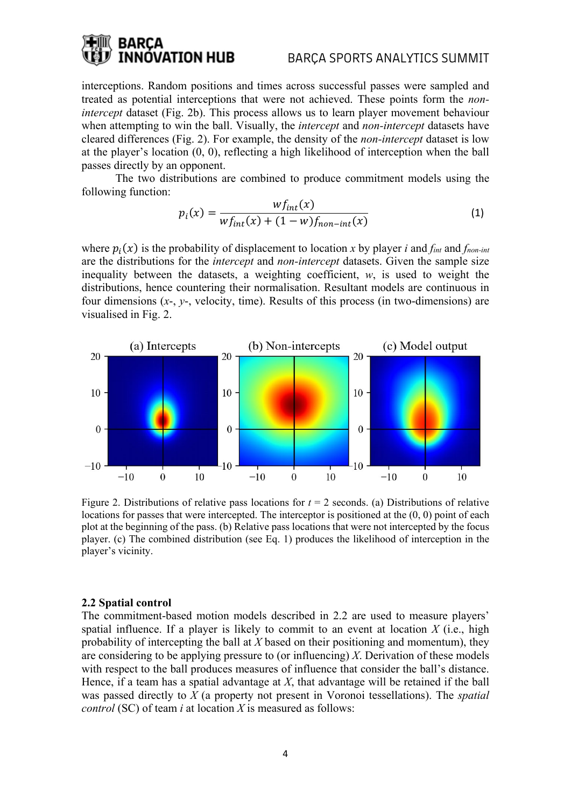## NÓVATION HUB

#### BARÇA SPORTS ANALYTICS SUMMIT

interceptions. Random positions and times across successful passes were sampled and treated as potential interceptions that were not achieved. These points form the *nonintercept* dataset (Fig. 2b). This process allows us to learn player movement behaviour when attempting to win the ball. Visually, the *intercept* and *non-intercept* datasets have cleared differences (Fig. 2). For example, the density of the *non-intercept* dataset is low at the player's location (0, 0), reflecting a high likelihood of interception when the ball passes directly by an opponent.

The two distributions are combined to produce commitment models using the following function:

$$
p_i(x) = \frac{wf_{int}(x)}{wf_{int}(x) + (1 - w)f_{non-int}(x)}
$$
(1)

where  $p_i(x)$  is the probability of displacement to location *x* by player *i* and *f<sub>int</sub>* and *f<sub>non-int</sub>* are the distributions for the *intercept* and *non-intercept* datasets. Given the sample size inequality between the datasets, a weighting coefficient, *w*, is used to weight the distributions, hence countering their normalisation. Resultant models are continuous in four dimensions (*x*-, *y*-, velocity, time). Results of this process (in two-dimensions) are visualised in Fig. 2.



Figure 2. Distributions of relative pass locations for  $t = 2$  seconds. (a) Distributions of relative locations for passes that were intercepted. The interceptor is positioned at the  $(0, 0)$  point of each plot at the beginning of the pass. (b) Relative pass locations that were not intercepted by the focus player. (c) The combined distribution (see Eq. 1) produces the likelihood of interception in the player's vicinity.

#### **2.2 Spatial control**

The commitment-based motion models described in 2.2 are used to measure players' spatial influence. If a player is likely to commit to an event at location *X* (i.e., high probability of intercepting the ball at *X* based on their positioning and momentum), they are considering to be applying pressure to (or influencing) *X*. Derivation of these models with respect to the ball produces measures of influence that consider the ball's distance. Hence, if a team has a spatial advantage at *X*, that advantage will be retained if the ball was passed directly to *X* (a property not present in Voronoi tessellations). The *spatial control* (SC) of team *i* at location *X* is measured as follows: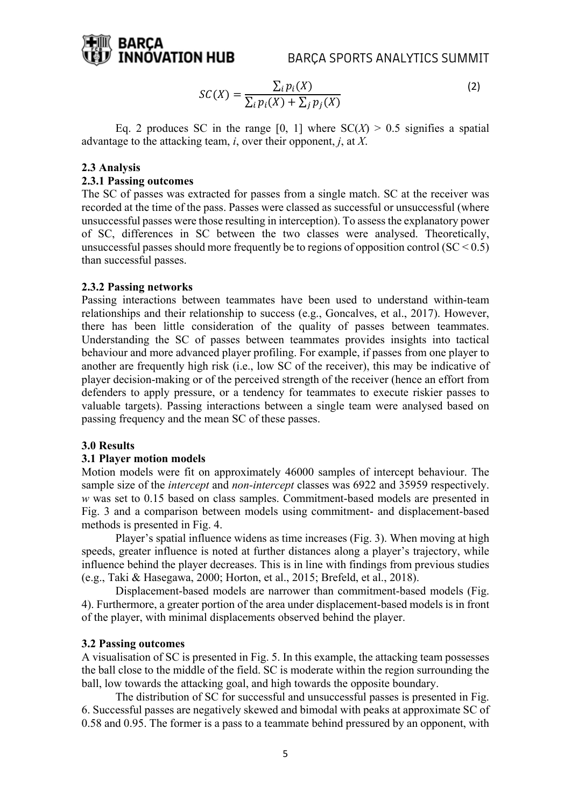

$$
SC(X) = \frac{\sum_{i} p_i(X)}{\sum_{i} p_i(X) + \sum_{j} p_j(X)}
$$
(2)

Eq. 2 produces SC in the range [0, 1] where  $SC(X) > 0.5$  signifies a spatial advantage to the attacking team, *i*, over their opponent, *j*, at *X*.

#### **2.3 Analysis**

#### **2.3.1 Passing outcomes**

The SC of passes was extracted for passes from a single match. SC at the receiver was recorded at the time of the pass. Passes were classed as successful or unsuccessful (where unsuccessful passes were those resulting in interception). To assess the explanatory power of SC, differences in SC between the two classes were analysed. Theoretically, unsuccessful passes should more frequently be to regions of opposition control ( $SC < 0.5$ ) than successful passes.

#### **2.3.2 Passing networks**

Passing interactions between teammates have been used to understand within-team relationships and their relationship to success (e.g., Goncalves, et al., 2017). However, there has been little consideration of the quality of passes between teammates. Understanding the SC of passes between teammates provides insights into tactical behaviour and more advanced player profiling. For example, if passes from one player to another are frequently high risk (i.e., low SC of the receiver), this may be indicative of player decision-making or of the perceived strength of the receiver (hence an effort from defenders to apply pressure, or a tendency for teammates to execute riskier passes to valuable targets). Passing interactions between a single team were analysed based on passing frequency and the mean SC of these passes.

#### **3.0 Results**

#### **3.1 Player motion models**

Motion models were fit on approximately 46000 samples of intercept behaviour. The sample size of the *intercept* and *non-intercept* classes was 6922 and 35959 respectively. *w* was set to 0.15 based on class samples. Commitment-based models are presented in Fig. 3 and a comparison between models using commitment- and displacement-based methods is presented in Fig. 4.

Player's spatial influence widens as time increases (Fig. 3). When moving at high speeds, greater influence is noted at further distances along a player's trajectory, while influence behind the player decreases. This is in line with findings from previous studies (e.g., Taki & Hasegawa, 2000; Horton, et al., 2015; Brefeld, et al., 2018).

Displacement-based models are narrower than commitment-based models (Fig. 4). Furthermore, a greater portion of the area under displacement-based models is in front of the player, with minimal displacements observed behind the player.

#### **3.2 Passing outcomes**

A visualisation of SC is presented in Fig. 5. In this example, the attacking team possesses the ball close to the middle of the field. SC is moderate within the region surrounding the ball, low towards the attacking goal, and high towards the opposite boundary.

The distribution of SC for successful and unsuccessful passes is presented in Fig. 6. Successful passes are negatively skewed and bimodal with peaks at approximate SC of 0.58 and 0.95. The former is a pass to a teammate behind pressured by an opponent, with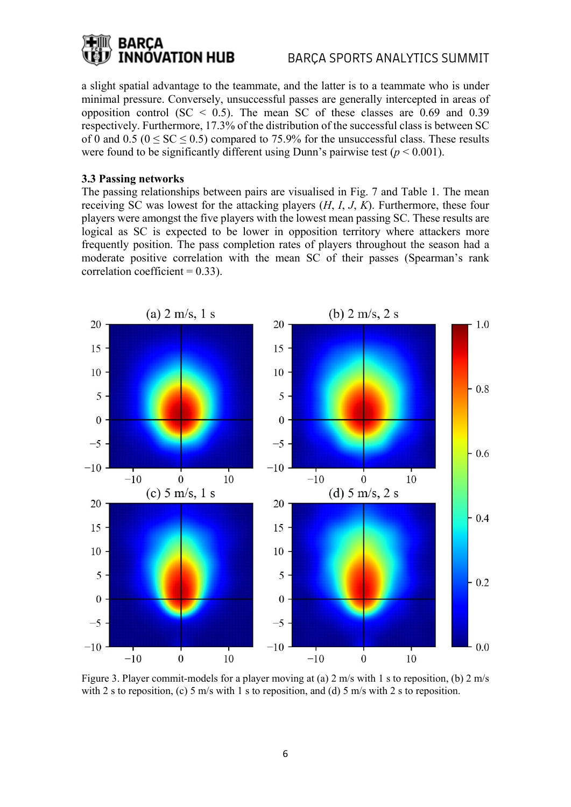## **BARCA INNOVATION HUB**

a slight spatial advantage to the teammate, and the latter is to a teammate who is under minimal pressure. Conversely, unsuccessful passes are generally intercepted in areas of opposition control (SC < 0.5). The mean SC of these classes are  $0.69$  and  $0.39$ respectively. Furthermore, 17.3% of the distribution of the successful class is between SC of 0 and 0.5 ( $0 \leq SC \leq 0.5$ ) compared to 75.9% for the unsuccessful class. These results were found to be significantly different using Dunn's pairwise test ( $p < 0.001$ ).

#### **3.3 Passing networks**

The passing relationships between pairs are visualised in Fig. 7 and Table 1. The mean receiving SC was lowest for the attacking players (*H*, *I*, *J*, *K*). Furthermore, these four players were amongst the five players with the lowest mean passing SC. These results are logical as SC is expected to be lower in opposition territory where attackers more frequently position. The pass completion rates of players throughout the season had a moderate positive correlation with the mean SC of their passes (Spearman's rank correlation coefficient  $= 0.33$ ).



Figure 3. Player commit-models for a player moving at (a) 2 m/s with 1 s to reposition, (b) 2 m/s with 2 s to reposition, (c) 5 m/s with 1 s to reposition, and (d) 5 m/s with 2 s to reposition.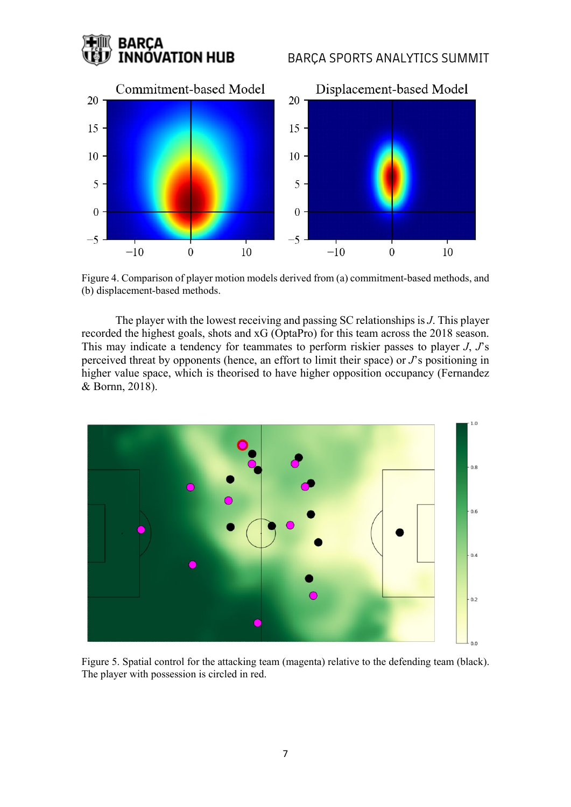## **BARCA INNÓVATION HUB**

### BARÇA SPORTS ANALYTICS SUMMIT



Figure 4. Comparison of player motion models derived from (a) commitment-based methods, and (b) displacement-based methods.

The player with the lowest receiving and passing SC relationships is *J*. This player recorded the highest goals, shots and xG (OptaPro) for this team across the 2018 season. This may indicate a tendency for teammates to perform riskier passes to player *J*, *J*'s perceived threat by opponents (hence, an effort to limit their space) or *J*'s positioning in higher value space, which is theorised to have higher opposition occupancy (Fernandez & Bornn, 2018).



Figure 5. Spatial control for the attacking team (magenta) relative to the defending team (black). The player with possession is circled in red.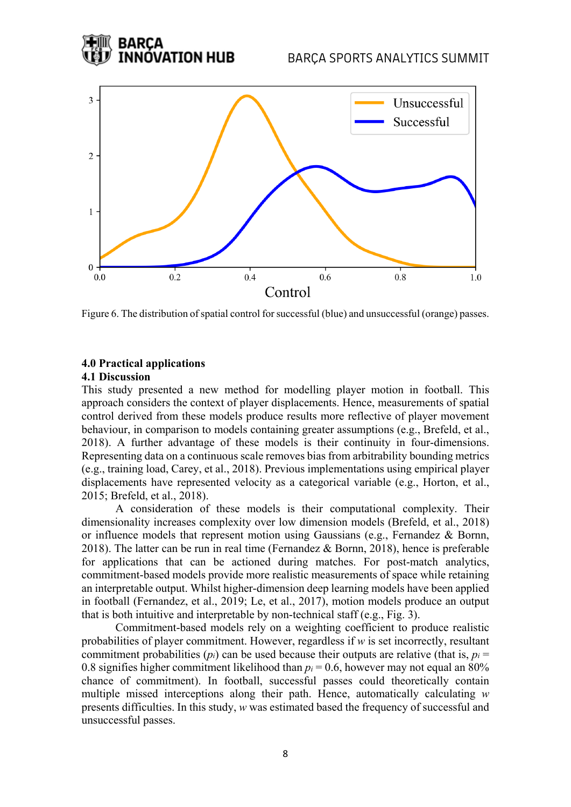#### BARÇA SPORTS ANALYTICS SUMMIT



Figure 6. The distribution of spatial control for successful (blue) and unsuccessful (orange) passes.

## **4.0 Practical applications**

BARCA

NÓVATION HUB

#### **4.1 Discussion**

This study presented a new method for modelling player motion in football. This approach considers the context of player displacements. Hence, measurements of spatial control derived from these models produce results more reflective of player movement behaviour, in comparison to models containing greater assumptions (e.g., Brefeld, et al., 2018). A further advantage of these models is their continuity in four-dimensions. Representing data on a continuous scale removes bias from arbitrability bounding metrics (e.g., training load, Carey, et al., 2018). Previous implementations using empirical player displacements have represented velocity as a categorical variable (e.g., Horton, et al., 2015; Brefeld, et al., 2018).

A consideration of these models is their computational complexity. Their dimensionality increases complexity over low dimension models (Brefeld, et al., 2018) or influence models that represent motion using Gaussians (e.g., Fernandez & Bornn, 2018). The latter can be run in real time (Fernandez & Bornn, 2018), hence is preferable for applications that can be actioned during matches. For post-match analytics, commitment-based models provide more realistic measurements of space while retaining an interpretable output. Whilst higher-dimension deep learning models have been applied in football (Fernandez, et al., 2019; Le, et al., 2017), motion models produce an output that is both intuitive and interpretable by non-technical staff (e.g., Fig. 3).

Commitment-based models rely on a weighting coefficient to produce realistic probabilities of player commitment. However, regardless if *w* is set incorrectly, resultant commitment probabilities  $(p_i)$  can be used because their outputs are relative (that is,  $p_i =$ 0.8 signifies higher commitment likelihood than  $p_i = 0.6$ , however may not equal an 80% chance of commitment). In football, successful passes could theoretically contain multiple missed interceptions along their path. Hence, automatically calculating *w* presents difficulties. In this study, *w* was estimated based the frequency of successful and unsuccessful passes.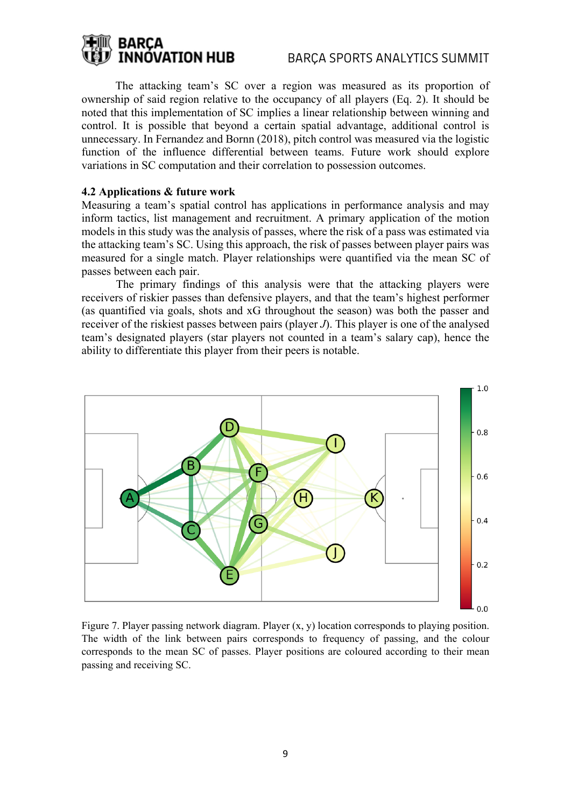## **BARCA INNOVATION HUB**

The attacking team's SC over a region was measured as its proportion of ownership of said region relative to the occupancy of all players (Eq. 2). It should be noted that this implementation of SC implies a linear relationship between winning and control. It is possible that beyond a certain spatial advantage, additional control is unnecessary. In Fernandez and Bornn (2018), pitch control was measured via the logistic function of the influence differential between teams. Future work should explore variations in SC computation and their correlation to possession outcomes.

#### **4.2 Applications & future work**

Measuring a team's spatial control has applications in performance analysis and may inform tactics, list management and recruitment. A primary application of the motion models in this study was the analysis of passes, where the risk of a pass was estimated via the attacking team's SC. Using this approach, the risk of passes between player pairs was measured for a single match. Player relationships were quantified via the mean SC of passes between each pair.

The primary findings of this analysis were that the attacking players were receivers of riskier passes than defensive players, and that the team's highest performer (as quantified via goals, shots and xG throughout the season) was both the passer and receiver of the riskiest passes between pairs (player *J*). This player is one of the analysed team's designated players (star players not counted in a team's salary cap), hence the ability to differentiate this player from their peers is notable.



Figure 7. Player passing network diagram. Player (x, y) location corresponds to playing position. The width of the link between pairs corresponds to frequency of passing, and the colour corresponds to the mean SC of passes. Player positions are coloured according to their mean passing and receiving SC.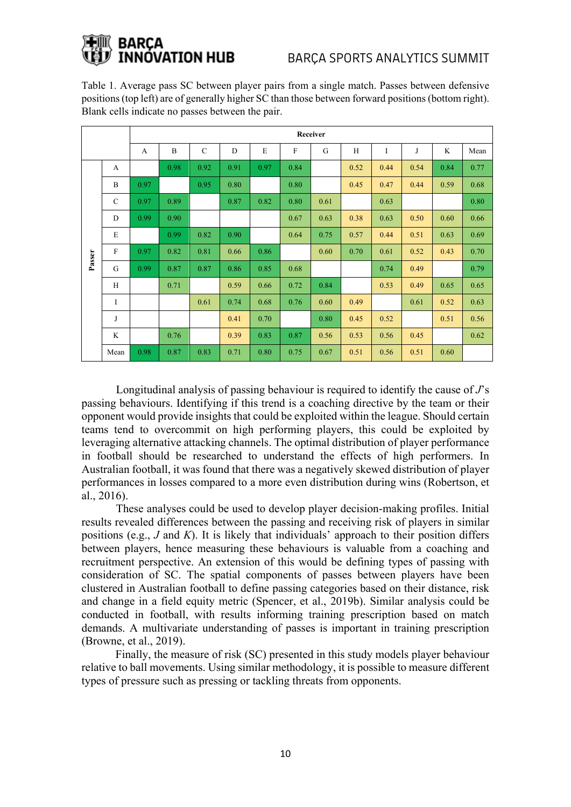# NÓVATION HUB

Table 1. Average pass SC between player pairs from a single match. Passes between defensive positions (top left) are of generally higher SC than those between forward positions (bottom right). Blank cells indicate no passes between the pair.

|        |               | Receiver |      |               |      |      |      |      |      |      |      |      |      |
|--------|---------------|----------|------|---------------|------|------|------|------|------|------|------|------|------|
|        |               | A        | B    | $\mathcal{C}$ | D    | E    | F    | G    | H    | I    | J    | K    | Mean |
| Passer | A             |          | 0.98 | 0.92          | 0.91 | 0.97 | 0.84 |      | 0.52 | 0.44 | 0.54 | 0.84 | 0.77 |
|        | B             | 0.97     |      | 0.95          | 0.80 |      | 0.80 |      | 0.45 | 0.47 | 0.44 | 0.59 | 0.68 |
|        | $\mathcal{C}$ | 0.97     | 0.89 |               | 0.87 | 0.82 | 0.80 | 0.61 |      | 0.63 |      |      | 0.80 |
|        | D             | 0.99     | 0.90 |               |      |      | 0.67 | 0.63 | 0.38 | 0.63 | 0.50 | 0.60 | 0.66 |
|        | E             |          | 0.99 | 0.82          | 0.90 |      | 0.64 | 0.75 | 0.57 | 0.44 | 0.51 | 0.63 | 0.69 |
|        | $\mathbf{F}$  | 0.97     | 0.82 | 0.81          | 0.66 | 0.86 |      | 0.60 | 0.70 | 0.61 | 0.52 | 0.43 | 0.70 |
|        | G             | 0.99     | 0.87 | 0.87          | 0.86 | 0.85 | 0.68 |      |      | 0.74 | 0.49 |      | 0.79 |
|        | H             |          | 0.71 |               | 0.59 | 0.66 | 0.72 | 0.84 |      | 0.53 | 0.49 | 0.65 | 0.65 |
|        | I             |          |      | 0.61          | 0.74 | 0.68 | 0.76 | 0.60 | 0.49 |      | 0.61 | 0.52 | 0.63 |
|        | J             |          |      |               | 0.41 | 0.70 |      | 0.80 | 0.45 | 0.52 |      | 0.51 | 0.56 |
|        | K             |          | 0.76 |               | 0.39 | 0.83 | 0.87 | 0.56 | 0.53 | 0.56 | 0.45 |      | 0.62 |
|        | Mean          | 0.98     | 0.87 | 0.83          | 0.71 | 0.80 | 0.75 | 0.67 | 0.51 | 0.56 | 0.51 | 0.60 |      |

Longitudinal analysis of passing behaviour is required to identify the cause of *J*'s passing behaviours. Identifying if this trend is a coaching directive by the team or their opponent would provide insights that could be exploited within the league. Should certain teams tend to overcommit on high performing players, this could be exploited by leveraging alternative attacking channels. The optimal distribution of player performance in football should be researched to understand the effects of high performers. In Australian football, it was found that there was a negatively skewed distribution of player performances in losses compared to a more even distribution during wins (Robertson, et al., 2016).

These analyses could be used to develop player decision-making profiles. Initial results revealed differences between the passing and receiving risk of players in similar positions (e.g., *J* and *K*). It is likely that individuals' approach to their position differs between players, hence measuring these behaviours is valuable from a coaching and recruitment perspective. An extension of this would be defining types of passing with consideration of SC. The spatial components of passes between players have been clustered in Australian football to define passing categories based on their distance, risk and change in a field equity metric (Spencer, et al., 2019b). Similar analysis could be conducted in football, with results informing training prescription based on match demands. A multivariate understanding of passes is important in training prescription (Browne, et al., 2019).

Finally, the measure of risk (SC) presented in this study models player behaviour relative to ball movements. Using similar methodology, it is possible to measure different types of pressure such as pressing or tackling threats from opponents.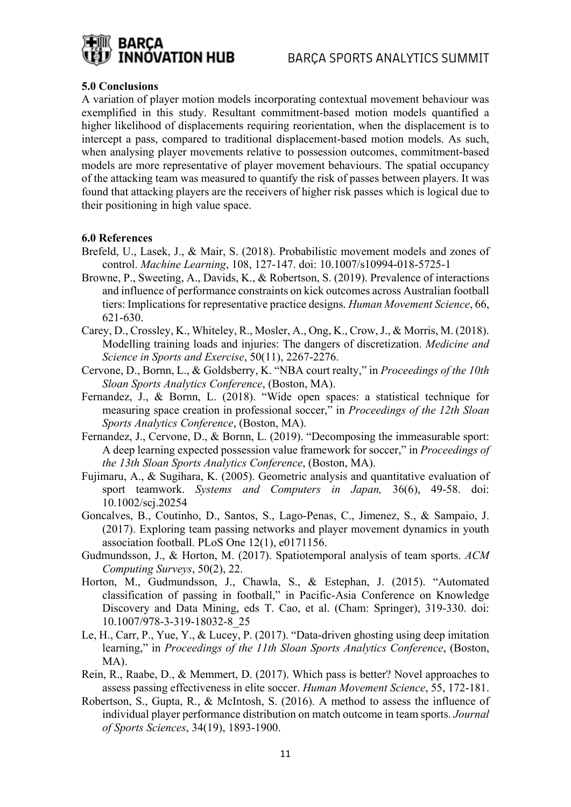

#### **5.0 Conclusions**

A variation of player motion models incorporating contextual movement behaviour was exemplified in this study. Resultant commitment-based motion models quantified a higher likelihood of displacements requiring reorientation, when the displacement is to intercept a pass, compared to traditional displacement-based motion models. As such, when analysing player movements relative to possession outcomes, commitment-based models are more representative of player movement behaviours. The spatial occupancy of the attacking team was measured to quantify the risk of passes between players. It was found that attacking players are the receivers of higher risk passes which is logical due to their positioning in high value space.

#### **6.0 References**

- Brefeld, U., Lasek, J., & Mair, S. (2018). Probabilistic movement models and zones of control. *Machine Learning*, 108, 127-147. doi: 10.1007/s10994-018-5725-1
- Browne, P., Sweeting, A., Davids, K., & Robertson, S. (2019). Prevalence of interactions and influence of performance constraints on kick outcomes across Australian football tiers: Implications for representative practice designs. *Human Movement Science*, 66, 621-630.
- Carey, D., Crossley, K., Whiteley, R., Mosler, A., Ong, K., Crow, J., & Morris, M. (2018). Modelling training loads and injuries: The dangers of discretization. *Medicine and Science in Sports and Exercise*, 50(11), 2267-2276.
- Cervone, D., Bornn, L., & Goldsberry, K. "NBA court realty," in *Proceedings of the 10th Sloan Sports Analytics Conference*, (Boston, MA).
- Fernandez, J., & Bornn, L. (2018). "Wide open spaces: a statistical technique for measuring space creation in professional soccer," in *Proceedings of the 12th Sloan Sports Analytics Conference*, (Boston, MA).
- Fernandez, J., Cervone, D., & Bornn, L. (2019). "Decomposing the immeasurable sport: A deep learning expected possession value framework for soccer," in *Proceedings of the 13th Sloan Sports Analytics Conference*, (Boston, MA).
- Fujimaru, A., & Sugihara, K. (2005). Geometric analysis and quantitative evaluation of sport teamwork. *Systems and Computers in Japan,* 36(6), 49-58. doi: 10.1002/scj.20254
- Goncalves, B., Coutinho, D., Santos, S., Lago-Penas, C., Jimenez, S., & Sampaio, J. (2017). Exploring team passing networks and player movement dynamics in youth association football. PLoS One 12(1), e0171156.
- Gudmundsson, J., & Horton, M. (2017). Spatiotemporal analysis of team sports. *ACM Computing Surveys*, 50(2), 22.
- Horton, M., Gudmundsson, J., Chawla, S., & Estephan, J. (2015). "Automated classification of passing in football," in Pacific-Asia Conference on Knowledge Discovery and Data Mining, eds T. Cao, et al. (Cham: Springer), 319-330. doi: 10.1007/978-3-319-18032-8\_25
- Le, H., Carr, P., Yue, Y., & Lucey, P. (2017). "Data-driven ghosting using deep imitation learning," in *Proceedings of the 11th Sloan Sports Analytics Conference*, (Boston, MA).
- Rein, R., Raabe, D., & Memmert, D. (2017). Which pass is better? Novel approaches to assess passing effectiveness in elite soccer. *Human Movement Science*, 55, 172-181.
- Robertson, S., Gupta, R., & McIntosh, S. (2016). A method to assess the influence of individual player performance distribution on match outcome in team sports. *Journal of Sports Sciences*, 34(19), 1893-1900.